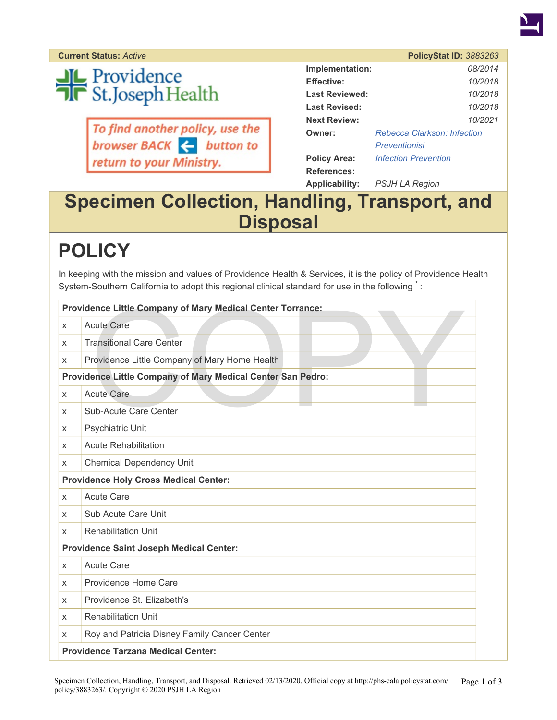

**Current Status: Active** 

# **JL** Providence<br>Tr St.Joseph Health

To find another policy, use the<br>browser BACK  $\leftarrow$  button to return to your Ministry.

|                       | <b>PolicyStat ID: 3883263</b>      |
|-----------------------|------------------------------------|
| Implementation:       | 08/2014                            |
| <b>Effective:</b>     | 10/2018                            |
| <b>Last Reviewed:</b> | 10/2018                            |
| Last Revised:         | 10/2018                            |
| <b>Next Review:</b>   | 10/2021                            |
| Owner:                | <b>Rebecca Clarkson: Infection</b> |
|                       | Preventionist                      |
| <b>Policy Area:</b>   | <b>Infection Prevention</b>        |
| <b>References:</b>    |                                    |
| <b>Applicability:</b> | PSJH LA Region                     |

#### **Specimen Collection, Handling, Transport, and Disposal**

### **POLICY**

In keeping with the mission and values of Providence Health & Services, it is the policy of Providence Health System-Southern California to adopt this regional clinical standard for use in the following  $\dot{\phantom{a}}$ :

|   | Providence Little Company of Mary Medical Center Torrance:  |
|---|-------------------------------------------------------------|
| X | <b>Acute Care</b>                                           |
| X | <b>Transitional Care Center</b>                             |
| X | Providence Little Company of Mary Home Health               |
|   | Providence Little Company of Mary Medical Center San Pedro: |
| X | <b>Acute Care</b>                                           |
| X | Sub-Acute Care Center                                       |
| X | Psychiatric Unit                                            |
| X | <b>Acute Rehabilitation</b>                                 |
| X | <b>Chemical Dependency Unit</b>                             |
|   | <b>Providence Holy Cross Medical Center:</b>                |
| X | <b>Acute Care</b>                                           |
| X | Sub Acute Care Unit                                         |
| X | <b>Rehabilitation Unit</b>                                  |
|   | <b>Providence Saint Joseph Medical Center:</b>              |
| X | <b>Acute Care</b>                                           |
| X | Providence Home Care                                        |
| X | Providence St. Elizabeth's                                  |
| X | <b>Rehabilitation Unit</b>                                  |
| X | Roy and Patricia Disney Family Cancer Center                |
|   | <b>Providence Tarzana Medical Center:</b>                   |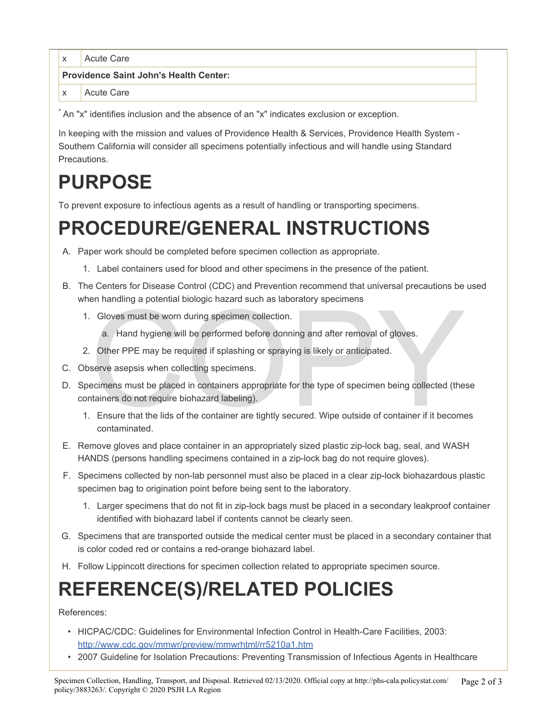x Acute Care

**Providence Saint John's Health Center:** 

x Acute Care

\* An "x" identifies inclusion and the absence of an "x" indicates exclusion or exception.

In keeping with the mission and values of Providence Health & Services, Providence Health System - Southern California will consider all specimens potentially infectious and will handle using Standard Precautions.

## **PURPOSE**

To prevent exposure to infectious agents as a result of handling or transporting specimens.

### **PROCEDURE/GENERAL INSTRUCTIONS**

- A. Paper work should be completed before specimen collection as appropriate.
	- 1. Label containers used for blood and other specimens in the presence of the patient.
- B. The Centers for Disease Control (CDC) and Prevention recommend that universal precautions be used when handling a potential biologic hazard such as laboratory specimens
	- 1. Gloves must be worn during specimen collection.
		- a. Hand hygiene will be performed before donning and after removal of gloves.
	- 2. Other PPE may be required if splashing or spraying is likely or anticipated.
- C. Observe asepsis when collecting specimens.
- en nanoling a potential biologic hazard such as laboratory specifiers<br>
a. Hand hygiene will be performed before donning and after removal of gloves.<br>
Other PPE may be required if splashing or spraying is likely or anticipa D. Specimens must be placed in containers appropriate for the type of specimen being collected (these containers do not require biohazard labeling).
	- 1. Ensure that the lids of the container are tightly secured. Wipe outside of container if it becomes contaminated.
- E. Remove gloves and place container in an appropriately sized plastic zip-lock bag, seal, and WASH HANDS (persons handling specimens contained in a zip-lock bag do not require gloves).
- F. Specimens collected by non-lab personnel must also be placed in a clear zip-lock biohazardous plastic specimen bag to origination point before being sent to the laboratory.
	- 1. Larger specimens that do not fit in zip-lock bags must be placed in a secondary leakproof container identified with biohazard label if contents cannot be clearly seen.
- G. Specimens that are transported outside the medical center must be placed in a secondary container that is color coded red or contains a red-orange biohazard label.
- H. Follow Lippincott directions for specimen collection related to appropriate specimen source.

### **REFERENCE(S)/RELATED POLICIES**

References:

- HICPAC/CDC: Guidelines for Environmental Infection Control in Health-Care Facilities, 2003: <http://www.cdc.gov/mmwr/preview/mmwrhtml/rr5210a1.htm>
- 2007 Guideline for Isolation Precautions: Preventing Transmission of Infectious Agents in Healthcare